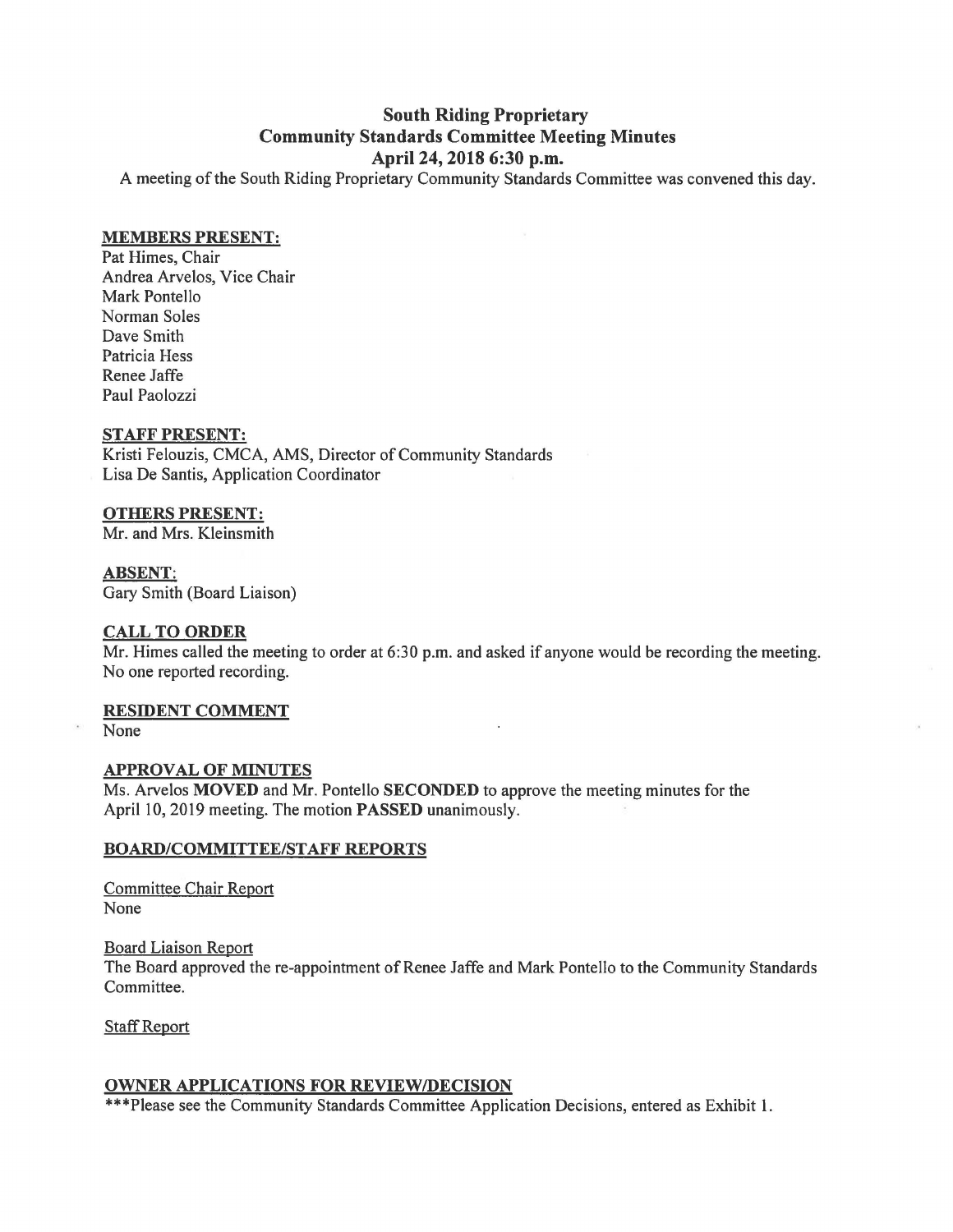# **South Riding Proprietary Community Standards Committee Meeting Minutes April 24, 2018 6:30 p.m.**

A meeting of the South Riding Proprietary Community Standards Committee was convened this day.

### **MEMBERS PRESENT:**

Pat Himes, Chair Andrea Arvelos, Vice Chair Mark Pontello Norman Soles Dave Smith Patricia Hess Renee Jaffe Paul Paolozzi

## **STAFF PRESENT:**

Kristi Felouzis, CMCA, AMS, Director of Community Standards Lisa De Santis, Application Coordinator

# **OTHERS PRESENT:**

Mr. and Mrs. Kleinsmith

## **ABSENT:**

Gary Smith (Board Liaison)

# **CALL TO ORDER**

Mr. Himes called the meeting to order at 6:30 p.m. and asked if anyone would be recording the meeting. No one reported recording.

#### **RESIDENT COMMENT**

None

#### **APPROVAL OF MINUTES**

Ms. Arvelos **MOVED** and Mr. Pontello **SECONDED** to approve the meeting minutes for the April 10, 2019 meeting. The motion **PASSED** unanimously.

#### **BOARD/COMMITTEE/STAFF REPORTS**

Committee Chair Report None

Board Liaison Report The Board approved the re-appointment of Renee Jaffe and Mark Pontello to the Community Standards Committee.

Staff Report

# **OWNER APPLICATIONS FOR REVIEW/DECISION**

\*\*\*Please see the Community Standards Committee Application Decisions, entered as Exhibit 1.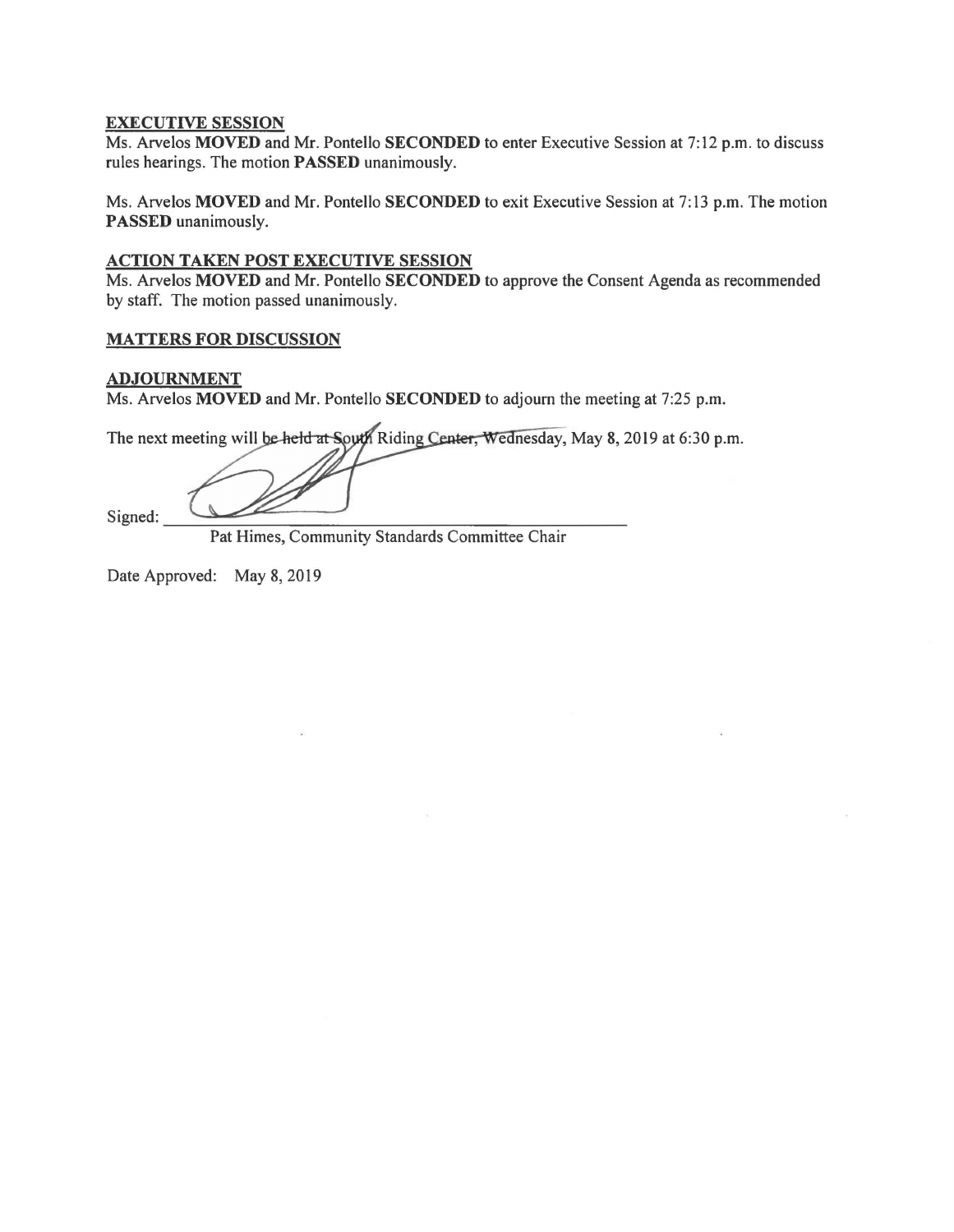## **EXECUTIVE SESSION**

Ms. Arvelos **MOVED** and Mr. Pontello **SECONDED** to enter Executive Session at 7:12 p.m. to discuss rules hearings. The motion **PASSED** unanimously.

Ms. Arvelos **MOVED** and Mr. Pontello **SECONDED** to exit Executive Session at 7: 13 p.m. The motion **PASSED** unanimously.

## **ACTION TAKEN POST EXECUTIVE SESSION**

Ms. Arvelos **MOVED** and Mr. Pontello **SECONDED** to approve the Consent Agenda as recommended by staff. The motion passed unanimously.

## **MATTERS FOR DISCUSSION**

# **ADJOURNMENT**

Ms. Arvelos **MOVED** and Mr. Pontello **SECONDED** to adjourn the meeting at 7:25 p.m.

The next meeting will be held at South Riding Center, Wednesday, May 8, 2019 at 6:30 p.m.

Signed:

Pat Himes, Community Standards Committee Chair

Date Approved: May 8, 2019